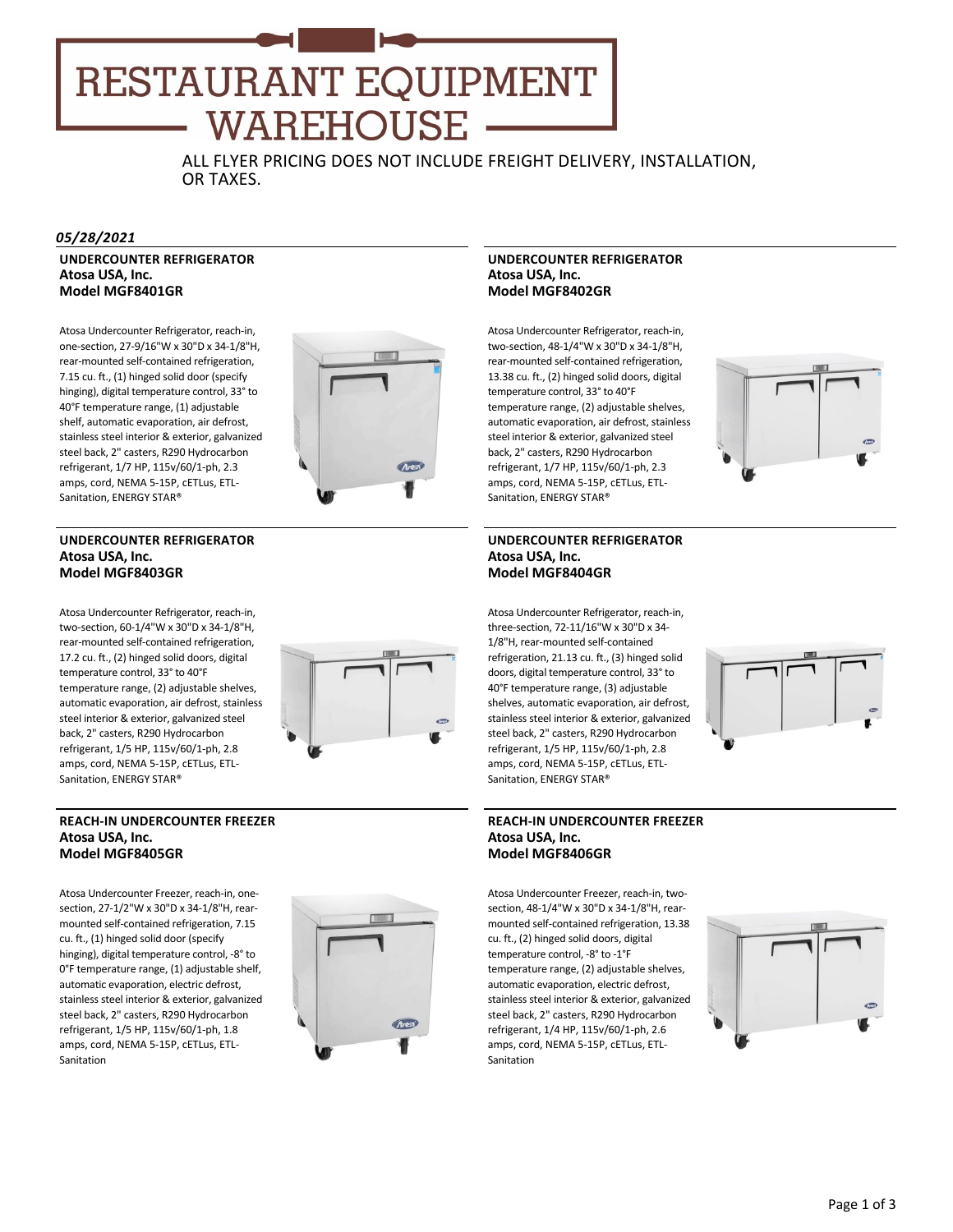# RESTAURANT EQUIPMENT **WAREHOUSE**

ALL FLYER PRICING DOES NOT INCLUDE FREIGHT DELIVERY, INSTALLATION, OR TAXES.

# *05/28/2021*

# **UNDERCOUNTER REFRIGERATOR Atosa USA, Inc. Model MGF8401GR**

Atosa Undercounter Refrigerator, reach‐in, one‐section, 27‐9/16"W x 30"D x 34‐1/8"H, rear‐mounted self‐contained refrigeration, 7.15 cu. ft., (1) hinged solid door (specify hinging), digital temperature control, 33° to 40°F temperature range, (1) adjustable shelf, automatic evaporation, air defrost, stainless steel interior & exterior, galvanized steel back, 2" casters, R290 Hydrocarbon refrigerant, 1/7 HP, 115v/60/1‐ph, 2.3 amps, cord, NEMA 5‐15P, cETLus, ETL‐ Sanitation, ENERGY STAR®



# **UNDERCOUNTER REFRIGERATOR Atosa USA, Inc. Model MGF8403GR**

Atosa Undercounter Refrigerator, reach‐in, two‐section, 60‐1/4"W x 30"D x 34‐1/8"H, rear‐mounted self‐contained refrigeration, 17.2 cu. ft., (2) hinged solid doors, digital temperature control, 33° to 40°F temperature range, (2) adjustable shelves, automatic evaporation, air defrost, stainless steel interior & exterior, galvanized steel back, 2" casters, R290 Hydrocarbon refrigerant, 1/5 HP, 115v/60/1‐ph, 2.8 amps, cord, NEMA 5‐15P, cETLus, ETL‐ Sanitation, ENERGY STAR®



# **REACH‐IN UNDERCOUNTER FREEZER Atosa USA, Inc. Model MGF8405GR**

Atosa Undercounter Freezer, reach‐in, one‐ section, 27‐1/2"W x 30"D x 34‐1/8"H, rear‐ mounted self‐contained refrigeration, 7.15 cu. ft., (1) hinged solid door (specify hinging), digital temperature control, ‐8° to 0°F temperature range, (1) adjustable shelf, automatic evaporation, electric defrost, stainless steel interior & exterior, galvanized steel back, 2" casters, R290 Hydrocarbon refrigerant, 1/5 HP, 115v/60/1‐ph, 1.8 amps, cord, NEMA 5‐15P, cETLus, ETL‐ Sanitation



# **UNDERCOUNTER REFRIGERATOR Atosa USA, Inc. Model MGF8402GR**

Atosa Undercounter Refrigerator, reach‐in, two‐section, 48‐1/4"W x 30"D x 34‐1/8"H, rear‐mounted self‐contained refrigeration, 13.38 cu. ft., (2) hinged solid doors, digital temperature control, 33° to 40°F temperature range, (2) adjustable shelves, automatic evaporation, air defrost, stainless steel interior & exterior, galvanized steel back, 2" casters, R290 Hydrocarbon refrigerant, 1/7 HP, 115v/60/1‐ph, 2.3 amps, cord, NEMA 5‐15P, cETLus, ETL‐ Sanitation, ENERGY STAR®



# **UNDERCOUNTER REFRIGERATOR Atosa USA, Inc. Model MGF8404GR**

Atosa Undercounter Refrigerator, reach‐in, three‐section, 72‐11/16"W x 30"D x 34‐ 1/8"H, rear‐mounted self‐contained refrigeration, 21.13 cu. ft., (3) hinged solid doors, digital temperature control, 33° to 40°F temperature range, (3) adjustable shelves, automatic evaporation, air defrost, stainless steel interior & exterior, galvanized steel back, 2" casters, R290 Hydrocarbon refrigerant, 1/5 HP, 115v/60/1‐ph, 2.8 amps, cord, NEMA 5‐15P, cETLus, ETL‐ Sanitation, ENERGY STAR®

# **REACH‐IN UNDERCOUNTER FREEZER Atosa USA, Inc. Model MGF8406GR**

Atosa Undercounter Freezer, reach‐in, two‐ section, 48‐1/4"W x 30"D x 34‐1/8"H, rear‐ mounted self‐contained refrigeration, 13.38 cu. ft., (2) hinged solid doors, digital temperature control, ‐8° to ‐1°F temperature range, (2) adjustable shelves, automatic evaporation, electric defrost, stainless steel interior & exterior, galvanized steel back, 2" casters, R290 Hydrocarbon refrigerant, 1/4 HP, 115v/60/1‐ph, 2.6 amps, cord, NEMA 5‐15P, cETLus, ETL‐ Sanitation

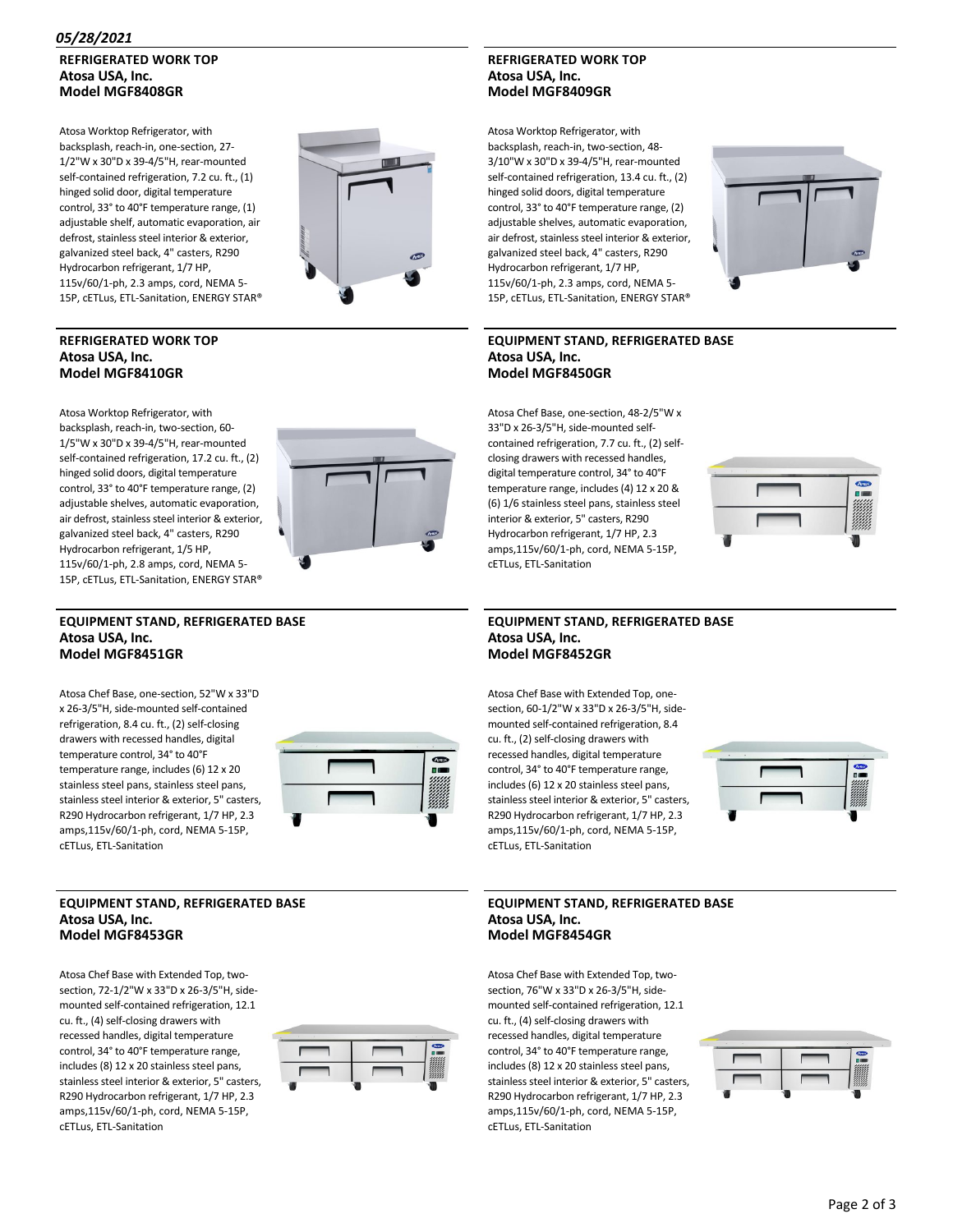# *05/28/2021*

# **REFRIGERATED WORK TOP Atosa USA, Inc. Model MGF8408GR**

Atosa Worktop Refrigerator, with backsplash, reach‐in, one‐section, 27‐ 1/2"W x 30"D x 39‐4/5"H, rear‐mounted self-contained refrigeration, 7.2 cu. ft., (1) hinged solid door, digital temperature control, 33° to 40°F temperature range, (1) adjustable shelf, automatic evaporation, air defrost, stainless steel interior & exterior, galvanized steel back, 4" casters, R290 Hydrocarbon refrigerant, 1/7 HP, 115v/60/1‐ph, 2.3 amps, cord, NEMA 5‐ 15P, cETLus, ETL‐Sanitation, ENERGY STAR®



# **REFRIGERATED WORK TOP Atosa USA, Inc. Model MGF8410GR**

Atosa Worktop Refrigerator, with backsplash, reach‐in, two‐section, 60‐ 1/5"W x 30"D x 39‐4/5"H, rear‐mounted self-contained refrigeration, 17.2 cu. ft., (2) hinged solid doors, digital temperature control, 33° to 40°F temperature range, (2) adjustable shelves, automatic evaporation, air defrost, stainless steel interior & exterior, galvanized steel back, 4" casters, R290 Hydrocarbon refrigerant, 1/5 HP, 115v/60/1‐ph, 2.8 amps, cord, NEMA 5‐ 15P, cETLus, ETL‐Sanitation, ENERGY STAR®



# **EQUIPMENT STAND, REFRIGERATED BASE Atosa USA, Inc. Model MGF8451GR**

Atosa Chef Base, one‐section, 52"W x 33"D x 26‐3/5"H, side‐mounted self‐contained refrigeration, 8.4 cu. ft., (2) self‐closing drawers with recessed handles, digital temperature control, 34° to 40°F temperature range, includes (6) 12 x 20 stainless steel pans, stainless steel pans, stainless steel interior & exterior, 5" casters, R290 Hydrocarbon refrigerant, 1/7 HP, 2.3 amps,115v/60/1‐ph, cord, NEMA 5‐15P, cETLus, ETL‐Sanitation



## **EQUIPMENT STAND, REFRIGERATED BASE Atosa USA, Inc. Model MGF8453GR**

Atosa Chef Base with Extended Top, two‐ section, 72‐1/2"W x 33"D x 26‐3/5"H, side‐ mounted self‐contained refrigeration, 12.1 cu. ft., (4) self‐closing drawers with recessed handles, digital temperature control, 34° to 40°F temperature range, includes (8) 12 x 20 stainless steel pans, stainless steel interior & exterior, 5" casters, R290 Hydrocarbon refrigerant, 1/7 HP, 2.3 amps,115v/60/1‐ph, cord, NEMA 5‐15P, cETLus, ETL‐Sanitation

# **REFRIGERATED WORK TOP Atosa USA, Inc. Model MGF8409GR**

Atosa Worktop Refrigerator, with backsplash, reach‐in, two‐section, 48‐ 3/10"W x 30"D x 39‐4/5"H, rear‐mounted self-contained refrigeration, 13.4 cu. ft., (2) hinged solid doors, digital temperature control, 33° to 40°F temperature range, (2) adjustable shelves, automatic evaporation, air defrost, stainless steel interior & exterior, galvanized steel back, 4" casters, R290 Hydrocarbon refrigerant, 1/7 HP, 115v/60/1‐ph, 2.3 amps, cord, NEMA 5‐ 15P, cETLus, ETL‐Sanitation, ENERGY STAR®



# **EQUIPMENT STAND, REFRIGERATED BASE Atosa USA, Inc. Model MGF8450GR**

Atosa Chef Base, one‐section, 48‐2/5"W x 33"D x 26‐3/5"H, side‐mounted self‐ contained refrigeration, 7.7 cu. ft., (2) self‐ closing drawers with recessed handles, digital temperature control, 34° to 40°F temperature range, includes (4) 12 x 20 & (6) 1/6 stainless steel pans, stainless steel interior & exterior, 5" casters, R290 Hydrocarbon refrigerant, 1/7 HP, 2.3 amps,115v/60/1‐ph, cord, NEMA 5‐15P, cETLus, ETL‐Sanitation



# **EQUIPMENT STAND, REFRIGERATED BASE Atosa USA, Inc. Model MGF8452GR**

Atosa Chef Base with Extended Top, one‐ section, 60‐1/2"W x 33"D x 26‐3/5"H, side‐ mounted self‐contained refrigeration, 8.4 cu. ft., (2) self‐closing drawers with recessed handles, digital temperature control, 34° to 40°F temperature range, includes (6) 12 x 20 stainless steel pans, stainless steel interior & exterior, 5" casters, R290 Hydrocarbon refrigerant, 1/7 HP, 2.3 amps,115v/60/1‐ph, cord, NEMA 5‐15P, cETLus, ETL‐Sanitation



# **EQUIPMENT STAND, REFRIGERATED BASE Atosa USA, Inc. Model MGF8454GR**

Atosa Chef Base with Extended Top, two‐ section, 76"W x 33"D x 26‐3/5"H, side‐ mounted self‐contained refrigeration, 12.1 cu. ft., (4) self‐closing drawers with recessed handles, digital temperature control, 34° to 40°F temperature range, includes (8) 12 x 20 stainless steel pans, stainless steel interior & exterior, 5" casters, R290 Hydrocarbon refrigerant, 1/7 HP, 2.3 amps,115v/60/1‐ph, cord, NEMA 5‐15P, cETLus, ETL‐Sanitation